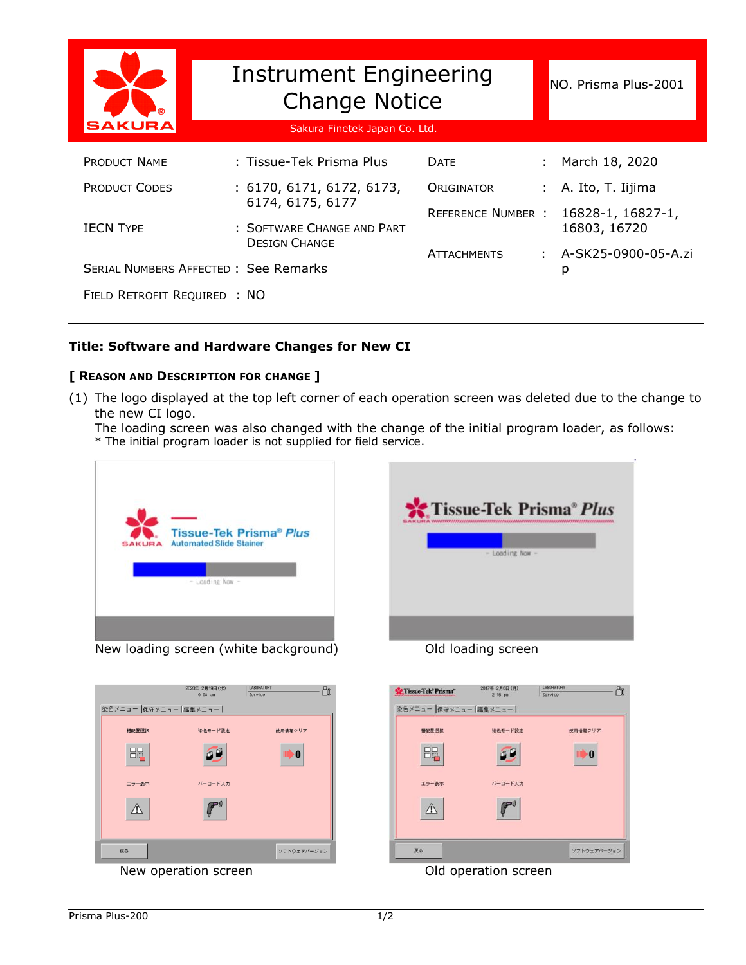| <b>SAKURA</b>                        | <b>Instrument Engineering</b><br><b>Change Notice</b><br>Sakura Finetek Japan Co. Ltd. | NO. Prisma Plus-2001      |                     |  |
|--------------------------------------|----------------------------------------------------------------------------------------|---------------------------|---------------------|--|
|                                      |                                                                                        |                           |                     |  |
| <b>PRODUCT NAME</b>                  | : Tissue-Tek Prisma Plus                                                               | <b>DATE</b>               | March 18, 2020      |  |
| <b>PRODUCT CODES</b>                 | : 6170, 6171, 6172, 6173,                                                              | <b>ORIGINATOR</b>         | A. Ito, T. Iijima   |  |
|                                      | 6174, 6175, 6177                                                                       | <b>REFERENCE NUMBER :</b> | 16828-1, 16827-1,   |  |
| <b>IECN TYPE</b>                     | : SOFTWARE CHANGE AND PART<br><b>DESIGN CHANGE</b>                                     |                           | 16803, 16720        |  |
|                                      |                                                                                        | <b>ATTACHMENTS</b>        | A-SK25-0900-05-A.zi |  |
| SERIAL NUMBERS AFFECTED: See Remarks |                                                                                        |                           | р                   |  |
| FIELD RETROFIT REQUIRED : NO         |                                                                                        |                           |                     |  |

## **Title: Software and Hardware Changes for New CI**

## **[ REASON AND DESCRIPTION FOR CHANGE ]**

(1) The logo displayed at the top left corner of each operation screen was deleted due to the change to the new CI logo.

The loading screen was also changed with the change of the initial program loader, as follows: \* The initial program loader is not supplied for field service.



New loading screen (white background) Old loading screen